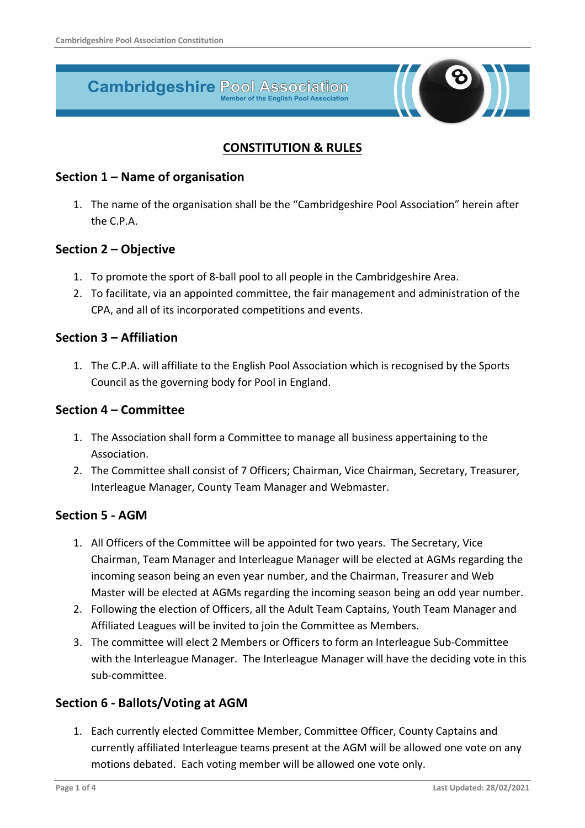# **Cambridgeshire Pool Association**

## **CONSTITUTION & RULES**

#### **Section 1 – Name of organisation**

1. The name of the organisation shall be the "Cambridgeshire Pool Association" herein after the C.P.A.

## **Section 2 – Objective**

- 1. To promote the sport of 8-ball pool to all people in the Cambridgeshire Area.
- 2. To facilitate, via an appointed committee, the fair management and administration of the CPA, and all of its incorporated competitions and events.

## **Section 3 – Affiliation**

1. The C.P.A. will affiliate to the English Pool Association which is recognised by the Sports Council as the governing body for Pool in England.

## **Section 4 – Committee**

- 1. The Association shall form a Committee to manage all business appertaining to the Association.
- 2. The Committee shall consist of 7 Officers; Chairman, Vice Chairman, Secretary, Treasurer, Interleague Manager, County Team Manager and Webmaster.

## **Section 5 - AGM**

- 1. All Officers of the Committee will be appointed for two years. The Secretary, Vice Chairman, Team Manager and Interleague Manager will be elected at AGMs regarding the incoming season being an even year number, and the Chairman, Treasurer and Web Master will be elected at AGMs regarding the incoming season being an odd year number.
- 2. Following the election of Officers, all the Adult Team Captains, Youth Team Manager and Affiliated Leagues will be invited to join the Committee as Members.
- 3. The committee will elect 2 Members or Officers to form an Interleague Sub-Committee with the Interleague Manager. The Interleague Manager will have the deciding vote in this sub-committee.

## **Section 6 - Ballots/Voting at AGM**

1. Each currently elected Committee Member, Committee Officer, County Captains and currently affiliated Interleague teams present at the AGM will be allowed one vote on any motions debated. Each voting member will be allowed one vote only.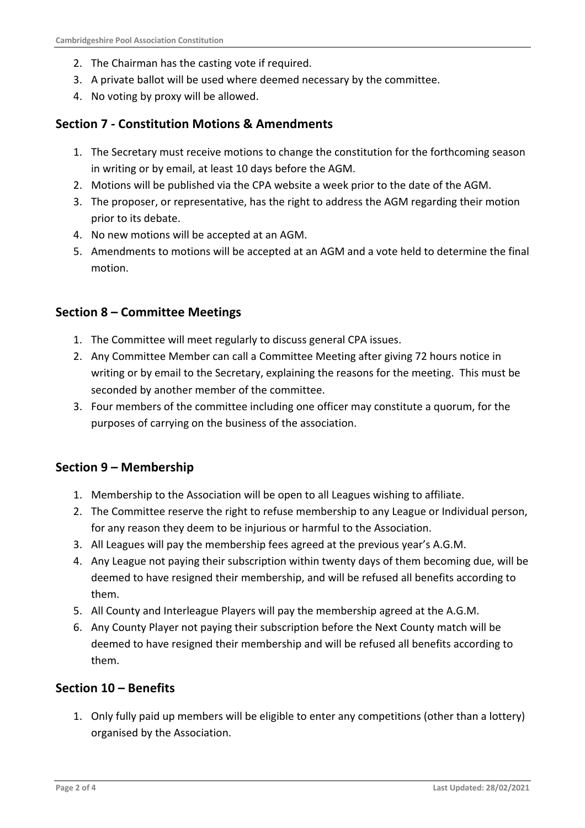- 2. The Chairman has the casting vote if required.
- 3. A private ballot will be used where deemed necessary by the committee.
- 4. No voting by proxy will be allowed.

## **Section 7 - Constitution Motions & Amendments**

- 1. The Secretary must receive motions to change the constitution for the forthcoming season in writing or by email, at least 10 days before the AGM.
- 2. Motions will be published via the CPA website a week prior to the date of the AGM.
- 3. The proposer, or representative, has the right to address the AGM regarding their motion prior to its debate.
- 4. No new motions will be accepted at an AGM.
- 5. Amendments to motions will be accepted at an AGM and a vote held to determine the final motion.

## **Section 8 – Committee Meetings**

- 1. The Committee will meet regularly to discuss general CPA issues.
- 2. Any Committee Member can call a Committee Meeting after giving 72 hours notice in writing or by email to the Secretary, explaining the reasons for the meeting. This must be seconded by another member of the committee.
- 3. Four members of the committee including one officer may constitute a quorum, for the purposes of carrying on the business of the association.

## **Section 9 – Membership**

- 1. Membership to the Association will be open to all Leagues wishing to affiliate.
- 2. The Committee reserve the right to refuse membership to any League or Individual person, for any reason they deem to be injurious or harmful to the Association.
- 3. All Leagues will pay the membership fees agreed at the previous year's A.G.M.
- 4. Any League not paying their subscription within twenty days of them becoming due, will be deemed to have resigned their membership, and will be refused all benefits according to them.
- 5. All County and Interleague Players will pay the membership agreed at the A.G.M.
- 6. Any County Player not paying their subscription before the Next County match will be deemed to have resigned their membership and will be refused all benefits according to them.

## **Section 10 – Benefits**

1. Only fully paid up members will be eligible to enter any competitions (other than a lottery) organised by the Association.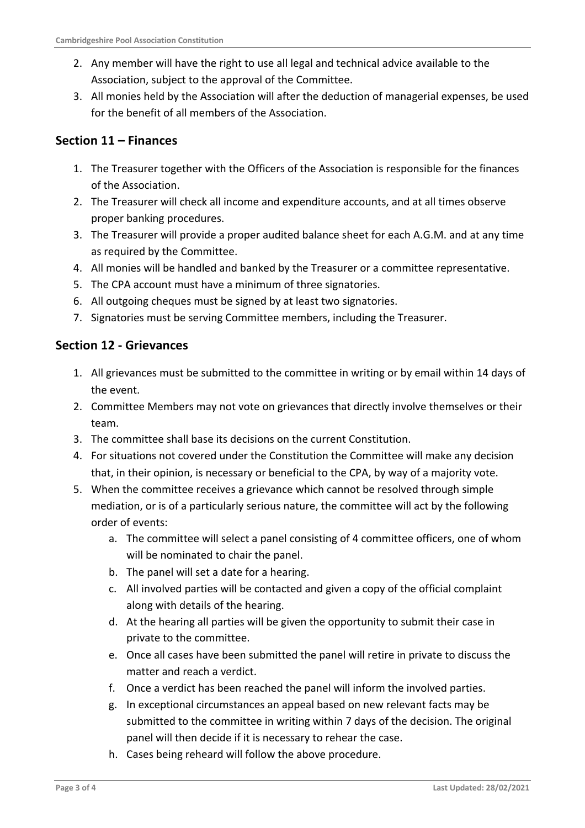- 2. Any member will have the right to use all legal and technical advice available to the Association, subject to the approval of the Committee.
- 3. All monies held by the Association will after the deduction of managerial expenses, be used for the benefit of all members of the Association.

# **Section 11 – Finances**

- 1. The Treasurer together with the Officers of the Association is responsible for the finances of the Association.
- 2. The Treasurer will check all income and expenditure accounts, and at all times observe proper banking procedures.
- 3. The Treasurer will provide a proper audited balance sheet for each A.G.M. and at any time as required by the Committee.
- 4. All monies will be handled and banked by the Treasurer or a committee representative.
- 5. The CPA account must have a minimum of three signatories.
- 6. All outgoing cheques must be signed by at least two signatories.
- 7. Signatories must be serving Committee members, including the Treasurer.

# **Section 12 - Grievances**

- 1. All grievances must be submitted to the committee in writing or by email within 14 days of the event.
- 2. Committee Members may not vote on grievances that directly involve themselves or their team.
- 3. The committee shall base its decisions on the current Constitution.
- 4. For situations not covered under the Constitution the Committee will make any decision that, in their opinion, is necessary or beneficial to the CPA, by way of a majority vote.
- 5. When the committee receives a grievance which cannot be resolved through simple mediation, or is of a particularly serious nature, the committee will act by the following order of events:
	- a. The committee will select a panel consisting of 4 committee officers, one of whom will be nominated to chair the panel.
	- b. The panel will set a date for a hearing.
	- c. All involved parties will be contacted and given a copy of the official complaint along with details of the hearing.
	- d. At the hearing all parties will be given the opportunity to submit their case in private to the committee.
	- e. Once all cases have been submitted the panel will retire in private to discuss the matter and reach a verdict.
	- f. Once a verdict has been reached the panel will inform the involved parties.
	- g. In exceptional circumstances an appeal based on new relevant facts may be submitted to the committee in writing within 7 days of the decision. The original panel will then decide if it is necessary to rehear the case.
	- h. Cases being reheard will follow the above procedure.